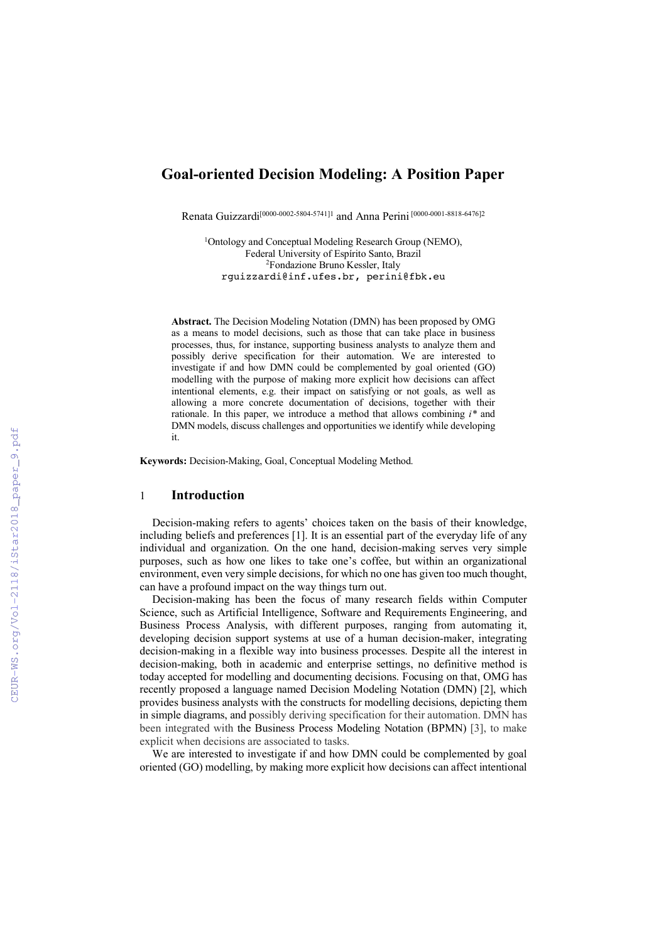## **Goal-oriented Decision Modeling: A Position Paper**

Renata Guizzardi[0000-0002-5804-5741]1 and Anna Perini [0000-0001-8818-6476]2

1 Ontology and Conceptual Modeling Research Group (NEMO), Federal University of Espírito Santo, Brazil 2Fondazione Bruno Kessler, Italy rguizzardi@inf.ufes.br, perini@fbk.eu

**Abstract.** The Decision Modeling Notation (DMN) has been proposed by OMG as a means to model decisions, such as those that can take place in business processes, thus, for instance, supporting business analysts to analyze them and possibly derive specification for their automation. We are interested to investigate if and how DMN could be complemented by goal oriented (GO) modelling with the purpose of making more explicit how decisions can affect intentional elements, e.g. their impact on satisfying or not goals, as well as allowing a more concrete documentation of decisions, together with their rationale. In this paper, we introduce a method that allows combining *i\** and DMN models, discuss challenges and opportunities we identify while developing it.

**Keywords:** Decision-Making, Goal, Conceptual Modeling Method.

### 1 **Introduction**

Decision-making refers to agents' choices taken on the basis of their knowledge, including beliefs and preferences [1]. It is an essential part of the everyday life of any individual and organization. On the one hand, decision-making serves very simple purposes, such as how one likes to take one's coffee, but within an organizational environment, even very simple decisions, for which no one has given too much thought, can have a profound impact on the way things turn out.

Decision-making has been the focus of many research fields within Computer Science, such as Artificial Intelligence, Software and Requirements Engineering, and Business Process Analysis, with different purposes, ranging from automating it, developing decision support systems at use of a human decision-maker, integrating decision-making in a flexible way into business processes. Despite all the interest in decision-making, both in academic and enterprise settings, no definitive method is today accepted for modelling and documenting decisions. Focusing on that, OMG has recently proposed a language named Decision Modeling Notation (DMN) [2], which provides business analysts with the constructs for modelling decisions, depicting them in simple diagrams, and possibly deriving specification for their automation. DMN has been integrated with the Business Process Modeling Notation (BPMN) [3], to make explicit when decisions are associated to tasks.

We are interested to investigate if and how DMN could be complemented by goal oriented (GO) modelling, by making more explicit how decisions can affect intentional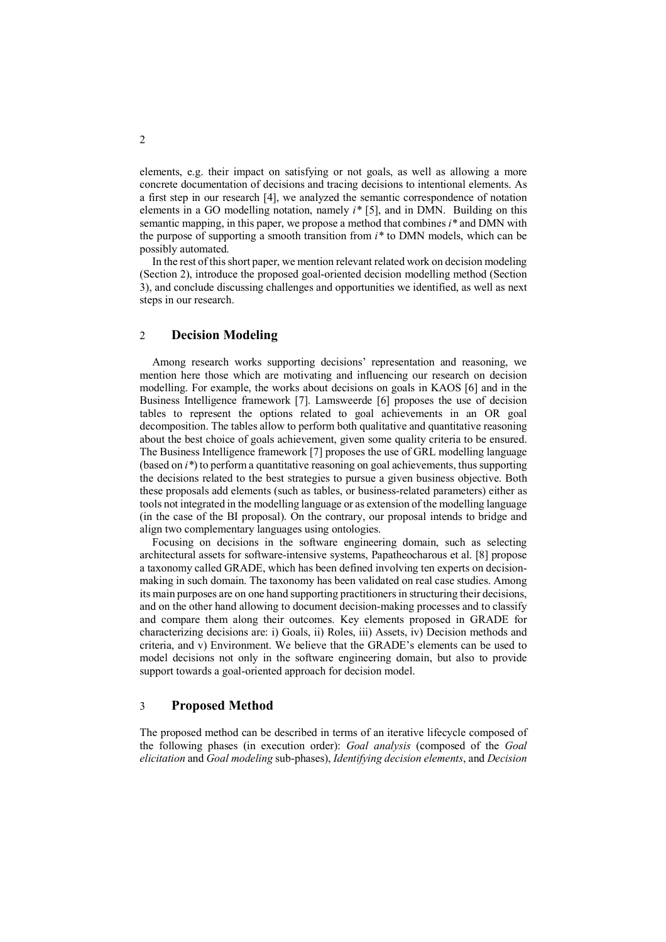elements, e.g. their impact on satisfying or not goals, as well as allowing a more concrete documentation of decisions and tracing decisions to intentional elements. As a first step in our research [4], we analyzed the semantic correspondence of notation elements in a GO modelling notation, namely *i\** [5], and in DMN. Building on this semantic mapping, in this paper, we propose a method that combines *i\** and DMN with the purpose of supporting a smooth transition from *i\** to DMN models, which can be possibly automated.

In the rest of this short paper, we mention relevant related work on decision modeling (Section 2), introduce the proposed goal-oriented decision modelling method (Section 3), and conclude discussing challenges and opportunities we identified, as well as next steps in our research.

# 2 **Decision Modeling**

Among research works supporting decisions' representation and reasoning, we mention here those which are motivating and influencing our research on decision modelling. For example, the works about decisions on goals in KAOS [6] and in the Business Intelligence framework [7]. Lamsweerde [6] proposes the use of decision tables to represent the options related to goal achievements in an OR goal decomposition. The tables allow to perform both qualitative and quantitative reasoning about the best choice of goals achievement, given some quality criteria to be ensured. The Business Intelligence framework [7] proposes the use of GRL modelling language (based on *i\**) to perform a quantitative reasoning on goal achievements, thus supporting the decisions related to the best strategies to pursue a given business objective. Both these proposals add elements (such as tables, or business-related parameters) either as tools not integrated in the modelling language or as extension of the modelling language (in the case of the BI proposal). On the contrary, our proposal intends to bridge and align two complementary languages using ontologies.

Focusing on decisions in the software engineering domain, such as selecting architectural assets for software-intensive systems, Papatheocharous et al. [8] propose a taxonomy called GRADE, which has been defined involving ten experts on decisionmaking in such domain. The taxonomy has been validated on real case studies. Among its main purposes are on one hand supporting practitioners in structuring their decisions, and on the other hand allowing to document decision-making processes and to classify and compare them along their outcomes. Key elements proposed in GRADE for characterizing decisions are: i) Goals, ii) Roles, iii) Assets, iv) Decision methods and criteria, and v) Environment. We believe that the GRADE's elements can be used to model decisions not only in the software engineering domain, but also to provide support towards a goal-oriented approach for decision model.

## 3 **Proposed Method**

The proposed method can be described in terms of an iterative lifecycle composed of the following phases (in execution order): *Goal analysis* (composed of the *Goal elicitation* and *Goal modeling* sub-phases), *Identifying decision elements*, and *Decision*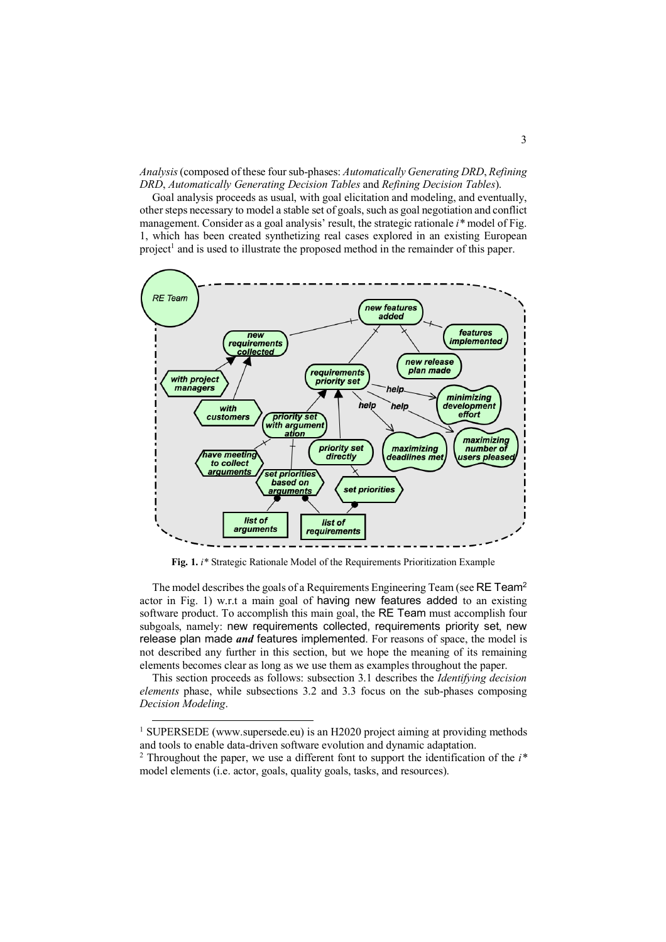*Analysis*(composed of these four sub-phases: *Automatically Generating DRD*, *Refining DRD*, *Automatically Generating Decision Tables* and *Refining Decision Tables*).

Goal analysis proceeds as usual, with goal elicitation and modeling, and eventually, other steps necessary to model a stable set of goals, such as goal negotiation and conflict management. Consider as a goal analysis' result, the strategic rationale *i\** model of Fig. 1, which has been created synthetizing real cases explored in an existing European project<sup>1</sup> and is used to illustrate the proposed method in the remainder of this paper.



**Fig. 1.** *i\** Strategic Rationale Model of the Requirements Prioritization Example

The model describes the goals of a Requirements Engineering Team (see RE Team<sup>2</sup> actor in Fig. 1) w.r.t a main goal of having new features added to an existing software product. To accomplish this main goal, the RE Team must accomplish four subgoals, namely: new requirements collected, requirements priority set, new release plan made *and* features implemented. For reasons of space, the model is not described any further in this section, but we hope the meaning of its remaining elements becomes clear as long as we use them as examples throughout the paper.

This section proceeds as follows: subsection 3.1 describes the *Identifying decision elements* phase, while subsections 3.2 and 3.3 focus on the sub-phases composing *Decision Modeling*.

<sup>&</sup>lt;sup>1</sup> SUPERSEDE (www.supersede.eu) is an H2020 project aiming at providing methods and tools to enable data-driven software evolution and dynamic adaptation. 2 Throughout the paper, we use a different font to support the identification of the *i\**

model elements (i.e. actor, goals, quality goals, tasks, and resources).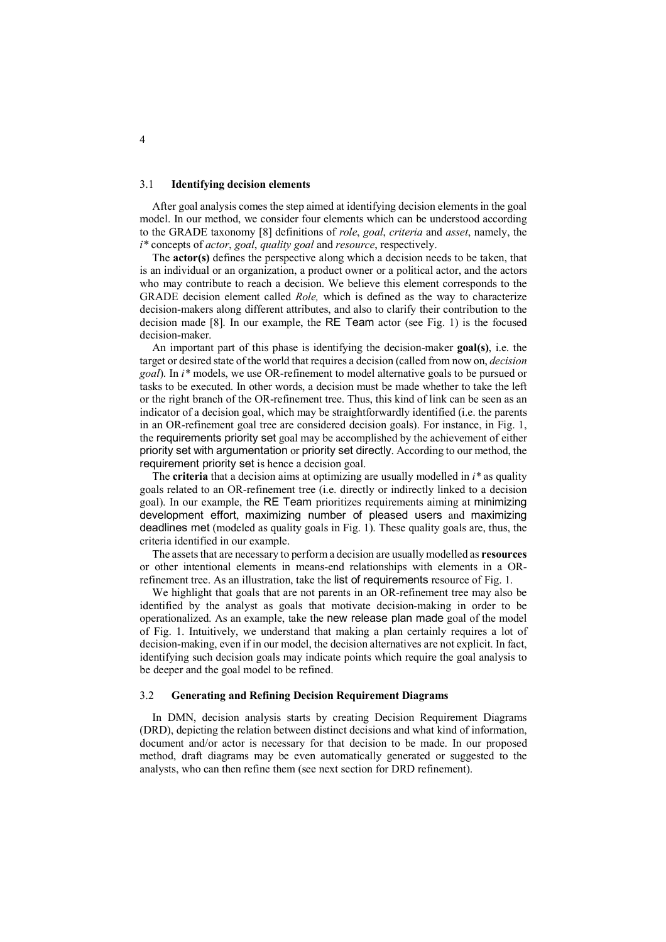#### 3.1 **Identifying decision elements**

After goal analysis comes the step aimed at identifying decision elements in the goal model. In our method, we consider four elements which can be understood according to the GRADE taxonomy [8] definitions of *role*, *goal*, *criteria* and *asset*, namely, the *i\** concepts of *actor*, *goal*, *quality goal* and *resource*, respectively.

The **actor(s)** defines the perspective along which a decision needs to be taken, that is an individual or an organization, a product owner or a political actor, and the actors who may contribute to reach a decision. We believe this element corresponds to the GRADE decision element called *Role,* which is defined as the way to characterize decision-makers along different attributes, and also to clarify their contribution to the decision made [8]. In our example, the RE Team actor (see Fig. 1) is the focused decision-maker.

An important part of this phase is identifying the decision-maker **goal(s)**, i.e. the target or desired state of the world that requires a decision (called from now on, *decision goal*). In *i\** models, we use OR-refinement to model alternative goals to be pursued or tasks to be executed. In other words, a decision must be made whether to take the left or the right branch of the OR-refinement tree. Thus, this kind of link can be seen as an indicator of a decision goal, which may be straightforwardly identified (i.e. the parents in an OR-refinement goal tree are considered decision goals). For instance, in Fig. 1, the requirements priority set goal may be accomplished by the achievement of either priority set with argumentation or priority set directly. According to our method, the requirement priority set is hence a decision goal.

The **criteria** that a decision aims at optimizing are usually modelled in *i\** as quality goals related to an OR-refinement tree (i.e. directly or indirectly linked to a decision goal). In our example, the RE Team prioritizes requirements aiming at minimizing development effort, maximizing number of pleased users and maximizing deadlines met (modeled as quality goals in Fig. 1). These quality goals are, thus, the criteria identified in our example.

The assets that are necessary to perform a decision are usually modelled as **resources** or other intentional elements in means-end relationships with elements in a ORrefinement tree. As an illustration, take the list of requirements resource of Fig. 1.

We highlight that goals that are not parents in an OR-refinement tree may also be identified by the analyst as goals that motivate decision-making in order to be operationalized. As an example, take the new release plan made goal of the model of Fig. 1. Intuitively, we understand that making a plan certainly requires a lot of decision-making, even if in our model, the decision alternatives are not explicit. In fact, identifying such decision goals may indicate points which require the goal analysis to be deeper and the goal model to be refined.

#### 3.2 **Generating and Refining Decision Requirement Diagrams**

In DMN, decision analysis starts by creating Decision Requirement Diagrams (DRD), depicting the relation between distinct decisions and what kind of information, document and/or actor is necessary for that decision to be made. In our proposed method, draft diagrams may be even automatically generated or suggested to the analysts, who can then refine them (see next section for DRD refinement).

4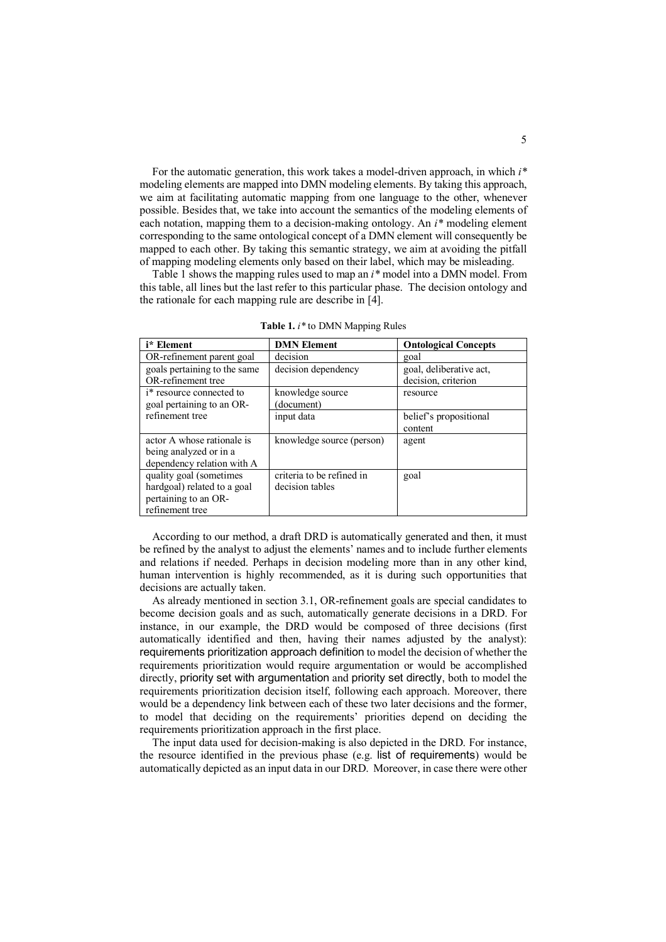For the automatic generation, this work takes a model-driven approach, in which *i\** modeling elements are mapped into DMN modeling elements. By taking this approach, we aim at facilitating automatic mapping from one language to the other, whenever possible. Besides that, we take into account the semantics of the modeling elements of each notation, mapping them to a decision-making ontology. An *i\** modeling element corresponding to the same ontological concept of a DMN element will consequently be mapped to each other. By taking this semantic strategy, we aim at avoiding the pitfall of mapping modeling elements only based on their label, which may be misleading.

Table 1 shows the mapping rules used to map an *i\** model into a DMN model. From this table, all lines but the last refer to this particular phase. The decision ontology and the rationale for each mapping rule are describe in [4].

| i* Element                       | <b>DMN</b> Element        | <b>Ontological Concepts</b> |  |
|----------------------------------|---------------------------|-----------------------------|--|
| OR-refinement parent goal        | decision                  | goal                        |  |
| goals pertaining to the same     | decision dependency       | goal, deliberative act,     |  |
| OR-refinement tree               |                           | decision, criterion         |  |
| <i>i</i> * resource connected to | knowledge source          | resource                    |  |
| goal pertaining to an OR-        | (document)                |                             |  |
| refinement tree                  | input data                | belief's propositional      |  |
|                                  |                           | content                     |  |
| actor A whose rationale is       | knowledge source (person) | agent                       |  |
| being analyzed or in a           |                           |                             |  |
| dependency relation with A       |                           |                             |  |
| quality goal (sometimes          | criteria to be refined in | goal                        |  |
| hardgoal) related to a goal      | decision tables           |                             |  |
| pertaining to an OR-             |                           |                             |  |
| refinement tree                  |                           |                             |  |

**Table 1.** *i\** to DMN Mapping Rules

According to our method, a draft DRD is automatically generated and then, it must be refined by the analyst to adjust the elements' names and to include further elements and relations if needed. Perhaps in decision modeling more than in any other kind, human intervention is highly recommended, as it is during such opportunities that decisions are actually taken.

As already mentioned in section 3.1, OR-refinement goals are special candidates to become decision goals and as such, automatically generate decisions in a DRD. For instance, in our example, the DRD would be composed of three decisions (first automatically identified and then, having their names adjusted by the analyst): requirements prioritization approach definition to model the decision of whether the requirements prioritization would require argumentation or would be accomplished directly, priority set with argumentation and priority set directly, both to model the requirements prioritization decision itself, following each approach. Moreover, there would be a dependency link between each of these two later decisions and the former, to model that deciding on the requirements' priorities depend on deciding the requirements prioritization approach in the first place.

The input data used for decision-making is also depicted in the DRD. For instance, the resource identified in the previous phase (e.g. list of requirements) would be automatically depicted as an input data in our DRD. Moreover, in case there were other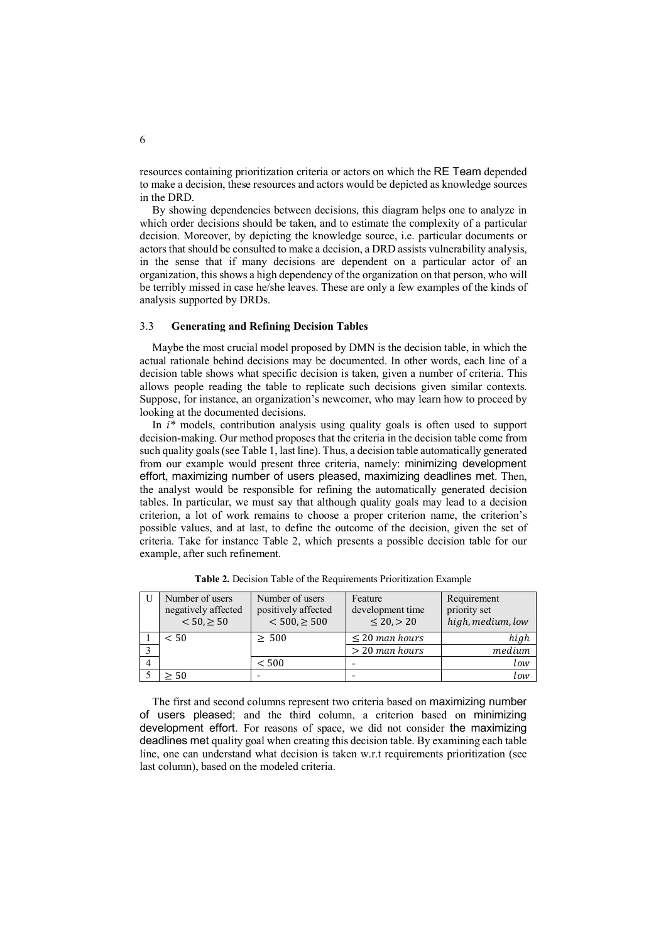resources containing prioritization criteria or actors on which the RE Team depended to make a decision, these resources and actors would be depicted as knowledge sources in the DRD.

By showing dependencies between decisions, this diagram helps one to analyze in which order decisions should be taken, and to estimate the complexity of a particular decision. Moreover, by depicting the knowledge source, i.e. particular documents or actors that should be consulted to make a decision, a DRD assists vulnerability analysis, in the sense that if many decisions are dependent on a particular actor of an organization, this shows a high dependency of the organization on that person, who will be terribly missed in case he/she leaves. These are only a few examples of the kinds of analysis supported by DRDs.

#### 3.3 **Generating and Refining Decision Tables**

Maybe the most crucial model proposed by DMN is the decision table, in which the actual rationale behind decisions may be documented. In other words, each line of a decision table shows what specific decision is taken, given a number of criteria. This allows people reading the table to replicate such decisions given similar contexts. Suppose, for instance, an organization's newcomer, who may learn how to proceed by looking at the documented decisions.

In *i\** models, contribution analysis using quality goals is often used to support decision-making. Our method proposes that the criteria in the decision table come from such quality goals (see Table 1, last line). Thus, a decision table automatically generated from our example would present three criteria, namely: minimizing development effort, maximizing number of users pleased, maximizing deadlines met. Then, the analyst would be responsible for refining the automatically generated decision tables. In particular, we must say that although quality goals may lead to a decision criterion, a lot of work remains to choose a proper criterion name, the criterion's possible values, and at last, to define the outcome of the decision, given the set of criteria. Take for instance Table 2, which presents a possible decision table for our example, after such refinement.

| Number of users<br>negatively affected<br>$< 50, \ge 50$ | Number of users<br>positively affected<br>$< 500, \ge 500$ | Feature<br>development time<br>$\leq 20, > 20$ | Requirement<br>priority set<br>high, medium, low |
|----------------------------------------------------------|------------------------------------------------------------|------------------------------------------------|--------------------------------------------------|
| < 50                                                     | $\geq 500$                                                 | $\leq 20$ man hours                            | high                                             |
|                                                          |                                                            | $>$ 20 man hours                               | medium                                           |
|                                                          | < 500                                                      |                                                | low                                              |
| > 50                                                     |                                                            |                                                | low                                              |

**Table 2.** Decision Table of the Requirements Prioritization Example

The first and second columns represent two criteria based on maximizing number of users pleased; and the third column, a criterion based on minimizing development effort. For reasons of space, we did not consider the maximizing deadlines met quality goal when creating this decision table. By examining each table line, one can understand what decision is taken w.r.t requirements prioritization (see last column), based on the modeled criteria.